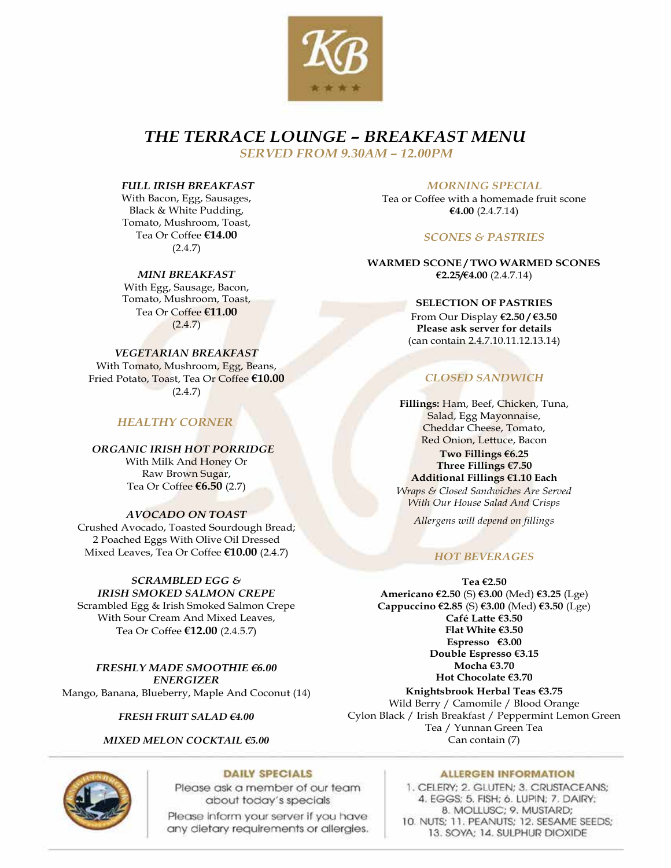

*THE TERRACE LOUNGE – BREAKFAST MENU*

*SERVED FROM 9.30AM – 12.00PM*

#### *FULL IRISH BREAKFAST*

With Bacon, Egg, Sausages, Black & White Pudding, Tomato, Mushroom, Toast, Tea Or Coffee **€14.00** (2.4.7)

#### *MINI BREAKFAST*

With Egg, Sausage, Bacon, Tomato, Mushroom, Toast, Tea Or Coffee **€11.00**  $(2.4.7)$ 

#### *VEGETARIAN BREAKFAST*

With Tomato, Mushroom, Egg, Beans, Fried Potato, Toast, Tea Or Coffee **€10.00**  $(2.4.7)$ 

### *HEALTHY CORNER*

 *ORGANIC IRISH HOT PORRIDGE* With Milk And Honey Or Raw Brown Sugar,

Tea Or Coffee **€6.50** (2.7)

#### *AVOCADO ON TOAST*

Crushed Avocado, Toasted Sourdough Bread; 2 Poached Eggs With Olive Oil Dressed Mixed Leaves, Tea Or Coffee **€10.00** (2.4.7)

### *SCRAMBLED EGG &*

*IRISH SMOKED SALMON CREPE* Scrambled Egg & Irish Smoked Salmon Crepe With Sour Cream And Mixed Leaves, Tea Or Coffee **€12.00** (2.4.5.7)

*FRESHLY MADE SMOOTHIE €6.00 ENERGIZER* Mango, Banana, Blueberry, Maple And Coconut (14)

*FRESH FRUIT SALAD €4.00*

#### *MIXED MELON COCKTAIL €5.00*

 *MORNING SPECIAL*

Tea or Coffee with a homemade fruit scone **€4.00** (2.4.7.14)

#### *SCONES & PASTRIES*

**WARMED SCONE / TWO WARMED SCONES €2.25/€4.00** (2.4.7.14)

#### **SELECTION OF PASTRIES**

From Our Display **€2.50 / €3.50 Please ask server for details**  (can contain 2.4.7.10.11.12.13.14)

## *CLOSED SANDWICH*

**Fillings:** Ham, Beef, Chicken, Tuna, Salad, Egg Mayonnaise, Cheddar Cheese, Tomato, Red Onion, Lettuce, Bacon **Two Fillings €6.25 Three Fillings €7.50 Additional Fillings €1.10 Each** *Wraps & Closed Sandwiches Are Served*

*With Our House Salad And Crisps* 

*Allergens will depend on fillings* 

## *HOT BEVERAGES*

**Tea €2.50 Americano €2.50** (S) **€3.00** (Med) **€3.25** (Lge) **Cappuccino €2.85** (S) **€3.00** (Med) **€3.50** (Lge) **Café Latte €3.50 Flat White €3.50 Espresso €3.00 Double Espresso €3.15 Mocha €3.70 Hot Chocolate €3.70 Knightsbrook Herbal Teas €3.75** Wild Berry / Camomile / Blood Orange Cylon Black / Irish Breakfast / Peppermint Lemon Green Tea / Yunnan Green Tea Can contain (7)



#### **DAILY SPECIALS**

Please ask a member of our team about today's specials

Please inform your server if you have any dietary requirements or allergies.

#### **ALLERGEN INFORMATION**

1. CELERY: 2. GLUTEN: 3. CRUSTACEANS: 4. EGGS: 5. FISH: 6. LUPIN: 7. DAIRY: 8. MOLLUSC; 9. MUSTARD; 10. NUTS; 11. PEANUTS; 12. SESAME SEEDS; 13. SOYA; 14. SULPHUR DIOXIDE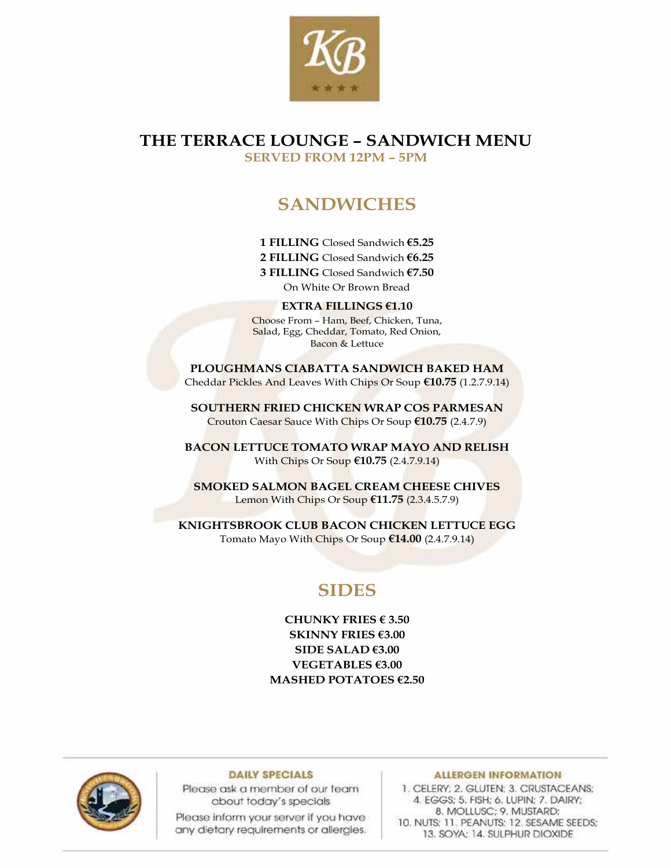

## **THE TERRACE LOUNGE – SANDWICH MENU SERVED FROM 12PM – 5PM**

# **SANDWICHES**

**1 FILLING** Closed Sandwich **€5.25 2 FILLING** Closed Sandwich **€6.25 3 FILLING** Closed Sandwich **€7.50** On White Or Brown Bread

**EXTRA FILLINGS €1.10** Choose From – Ham, Beef, Chicken, Tuna, Salad, Egg, Cheddar, Tomato, Red Onion, Bacon & Lettuce

**PLOUGHMANS CIABATTA SANDWICH BAKED HAM**  Cheddar Pickles And Leaves With Chips Or Soup **€10.75** (1.2.7.9.14)

**SOUTHERN FRIED CHICKEN WRAP COS PARMESAN**  Crouton Caesar Sauce With Chips Or Soup **€10.75** (2.4.7.9)

**BACON LETTUCE TOMATO WRAP MAYO AND RELISH**  With Chips Or Soup **€10.75** (2.4.7.9.14)

**SMOKED SALMON BAGEL CREAM CHEESE CHIVES**  Lemon With Chips Or Soup **€11.75** (2.3.4.5.7.9)

**KNIGHTSBROOK CLUB BACON CHICKEN LETTUCE EGG**  Tomato Mayo With Chips Or Soup **€14.00** (2.4.7.9.14)

# **SIDES**

**CHUNKY FRIES € 3.50 SKINNY FRIES €3.00 SIDE SALAD €3.00 VEGETABLES €3.00 MASHED POTATOES €2.50**



#### **DAILY SPECIALS**

Please ask a member of our team about today's specials

Please inform your server if you have any dietary requirements or allergies.

#### **ALLERGEN INFORMATION**

1. CELERY; 2. GLUTEN; 3. CRUSTACEANS; 4. EGGS; 5. FISH; 6. LUPIN; 7. DAIRY; 8. MOLLUSC; 9. MUSTARD; 10. NUTS; 11. PEANUTS; 12. SESAME SEEDS; 13. SOYA: 14. SULPHUR DIOXIDE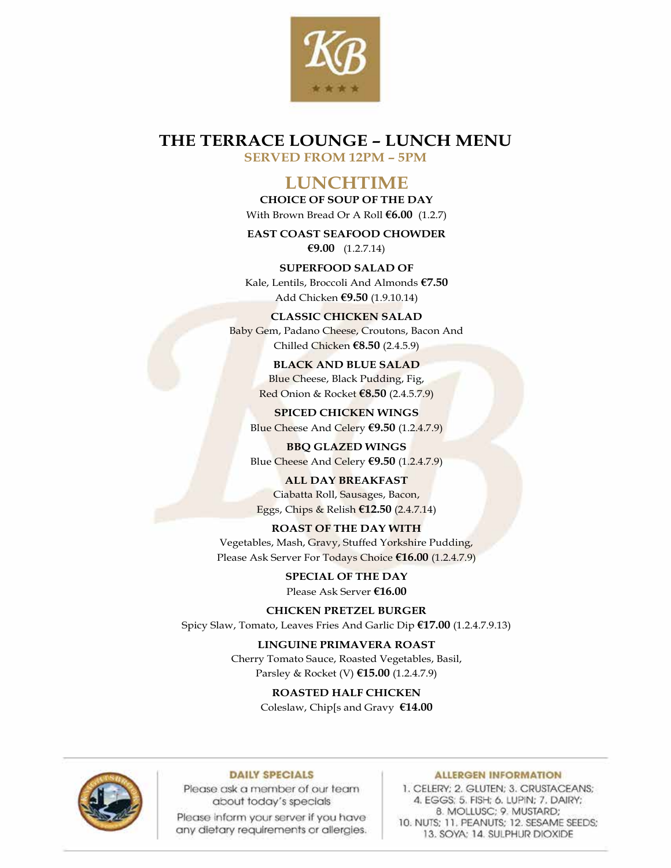

# **THE TERRACE LOUNGE – LUNCH MENU**

**SERVED FROM 12PM – 5PM**

## **LUNCHTIME**

**CHOICE OF SOUP OF THE DAY** With Brown Bread Or A Roll **€6.00** (1.2.7)

**EAST COAST SEAFOOD CHOWDER €9.00** (1.2.7.14)

**SUPERFOOD SALAD OF** Kale, Lentils, Broccoli And Almonds **€7.50** Add Chicken **€9.50** (1.9.10.14)

**CLASSIC CHICKEN SALAD** Baby Gem, Padano Cheese, Croutons, Bacon And Chilled Chicken **€8.50** (2.4.5.9)

> **BLACK AND BLUE SALAD** Blue Cheese, Black Pudding, Fig, Red Onion & Rocket **€8.50** (2.4.5.7.9)

**SPICED CHICKEN WINGS** Blue Cheese And Celery **€9.50** (1.2.4.7.9)

**BBQ GLAZED WINGS** Blue Cheese And Celery **€9.50** (1.2.4.7.9)

**ALL DAY BREAKFAST** Ciabatta Roll, Sausages, Bacon, Eggs, Chips & Relish **€12.50** (2.4.7.14)

**ROAST OF THE DAY WITH** Vegetables, Mash, Gravy, Stuffed Yorkshire Pudding,

Please Ask Server For Todays Choice **€16.00** (1.2.4.7.9)

**SPECIAL OF THE DAY** Please Ask Server **€16.00**

**CHICKEN PRETZEL BURGER**

Spicy Slaw, Tomato, Leaves Fries And Garlic Dip **€17.00** (1.2.4.7.9.13)

**LINGUINE PRIMAVERA ROAST** Cherry Tomato Sauce, Roasted Vegetables, Basil,

Parsley & Rocket (V) **€15.00** (1.2.4.7.9)

**ROASTED HALF CHICKEN**  Coleslaw, Chip[s and Gravy **€14.00**



#### **DAILY SPECIALS**

Please ask a member of our team about today's specials

Please inform your server if you have any dietary requirements or allergies.

#### **ALLERGEN INFORMATION**

1. CELERY; 2. GLUTEN; 3. CRUSTACEANS; 4. EGGS: 5. FISH: 6. LUPIN: 7. DAIRY: 8. MOLLUSC; 9. MUSTARD; 10. NUTS; 11. PEANUTS; 12. SESAME SEEDS; 13. SOYA: 14. SULPHUR DIOXIDE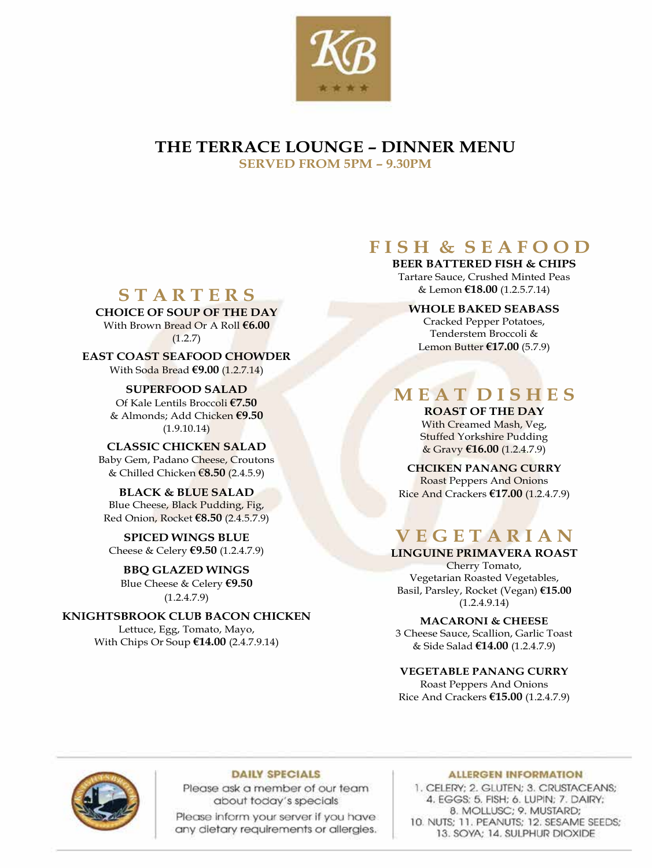

## **THE TERRACE LOUNGE – DINNER MENU SERVED FROM 5PM – 9.30PM**

# **F I S H & S E A F O O D**

**BEER BATTERED FISH & CHIPS** Tartare Sauce, Crushed Minted Peas & Lemon **€18.00** (1.2.5.7.14)

# **S T A R T E R S**

**CHOICE OF SOUP OF THE DAY** With Brown Bread Or A Roll **€6.00**  $(1.2.7)$ 

**EAST COAST SEAFOOD CHOWDER** With Soda Bread **€9.00** (1.2.7.14)

> **SUPERFOOD SALAD** Of Kale Lentils Broccoli **€7.50** & Almonds; Add Chicken **€9.50** (1.9.10.14)

**CLASSIC CHICKEN SALAD** Baby Gem, Padano Cheese, Croutons & Chilled Chicken €**8.50** (2.4.5.9)

**BLACK & BLUE SALAD** Blue Cheese, Black Pudding, Fig, Red Onion, Rocket **€8.50** (2.4.5.7.9)

**SPICED WINGS BLUE** Cheese & Celery **€9.50** (1.2.4.7.9)

**BBQ GLAZED WINGS** Blue Cheese & Celery **€9.50**  $(1.2.4.7.9)$ 

**KNIGHTSBROOK CLUB BACON CHICKEN** Lettuce, Egg, Tomato, Mayo, With Chips Or Soup **€14.00** (2.4.7.9.14)

### **WHOLE BAKED SEABASS**

Cracked Pepper Potatoes, Tenderstem Broccoli & Lemon Butter **€17.00** (5.7.9)

# **M E A T D I S H E S**

**ROAST OF THE DAY** With Creamed Mash, Veg, Stuffed Yorkshire Pudding & Gravy **€16.00** (1.2.4.7.9)

**CHCIKEN PANANG CURRY**  Roast Peppers And Onions Rice And Crackers **€17.00** (1.2.4.7.9)

# **V E G E T A R I A N**

**LINGUINE PRIMAVERA ROAST** Cherry Tomato, Vegetarian Roasted Vegetables,

Basil, Parsley, Rocket (Vegan) **€15.00**  $(1.2.4.9.14)$ 

**MACARONI & CHEESE** 3 Cheese Sauce, Scallion, Garlic Toast & Side Salad **€14.00** (1.2.4.7.9)

## **VEGETABLE PANANG CURRY**

Roast Peppers And Onions Rice And Crackers **€15.00** (1.2.4.7.9)



#### **DAILY SPECIALS**

Please ask a member of our team about today's specials

Please inform your server if you have any dietary requirements or allergies.

#### **ALLERGEN INFORMATION**

1. CELERY: 2. GLUTEN: 3. CRUSTACEANS: 4. EGGS: 5. FISH; 6. LUPIN; 7. DAIRY; 8. MOLLUSC; 9. MUSTARD; 10. NUTS: 11, PEANUTS: 12, SESAME SEEDS: 13. SOYA: 14. SULPHUR DIOXIDE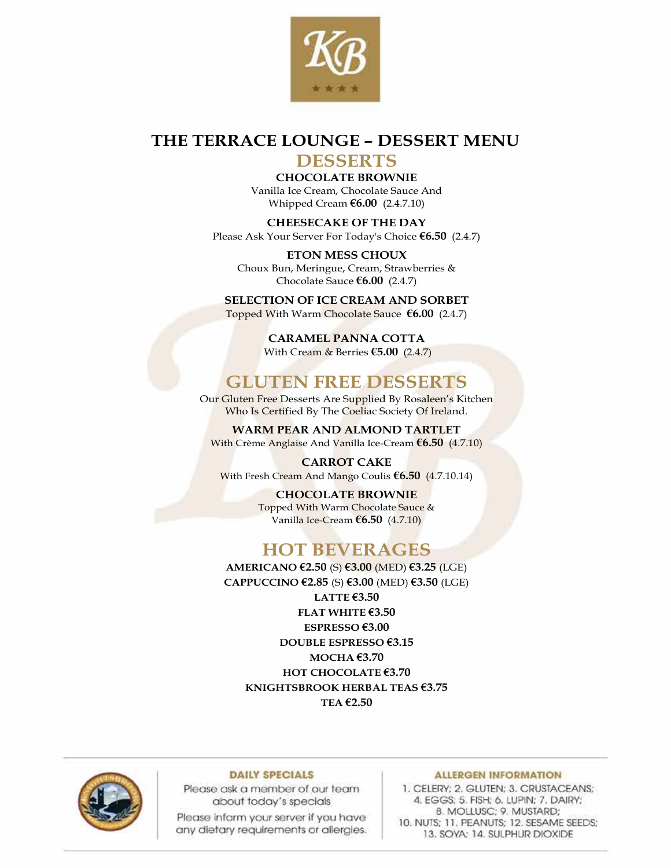

# **THE TERRACE LOUNGE – DESSERT MENU**

## **DESSERTS**

**CHOCOLATE BROWNIE**  Vanilla Ice Cream, Chocolate Sauce And Whipped Cream **€6.00** (2.4.7.10)

**CHEESECAKE OF THE DAY** Please Ask Your Server For Today's Choice **€6.50** (2.4.7)

**ETON MESS CHOUX** Choux Bun, Meringue, Cream, Strawberries & Chocolate Sauce **€6.00** (2.4.7)

**SELECTION OF ICE CREAM AND SORBET** Topped With Warm Chocolate Sauce **€6.00** (2.4.7)

> **CARAMEL PANNA COTTA** With Cream & Berries **€5.00** (2.4.7)

## **GLUTEN FREE DESSERTS**

Our Gluten Free Desserts Are Supplied By Rosaleen's Kitchen Who Is Certified By The Coeliac Society Of Ireland.

**WARM PEAR AND ALMOND TARTLET** With Crème Anglaise And Vanilla Ice-Cream **€6.50** (4.7.10)

**CARROT CAKE** With Fresh Cream And Mango Coulis **€6.50** (4.7.10.14)

> **CHOCOLATE BROWNIE** Topped With Warm Chocolate Sauce & Vanilla Ice-Cream **€6.50** (4.7.10)

# **HOT BEVERAGES**

**AMERICANO €2.50** (S) **€3.00** (MED) **€3.25** (LGE) **CAPPUCCINO €2.85** (S) **€3.00** (MED) **€3.50** (LGE) **LATTE €3.50 FLAT WHITE €3.50 ESPRESSO €3.00 DOUBLE ESPRESSO €3.15 MOCHA €3.70 HOT CHOCOLATE €3.70 KNIGHTSBROOK HERBAL TEAS €3.75 TEA €2.50**



#### **DAILY SPECIALS**

Please ask a member of our team about today's specials

Please inform your server if you have any dietary requirements or allergies.

#### **ALLERGEN INFORMATION**

1. CELERY; 2. GLUTEN; 3. CRUSTACEANS; 4. EGGS: 5. FISH: 6. LUPIN: 7. DAIRY: 8. MOLLUSC; 9. MUSTARD; 10. NUTS; 11. PEANUTS; 12. SESAME SEEDS; 13. SOYA: 14. SULPHUR DIOXIDE